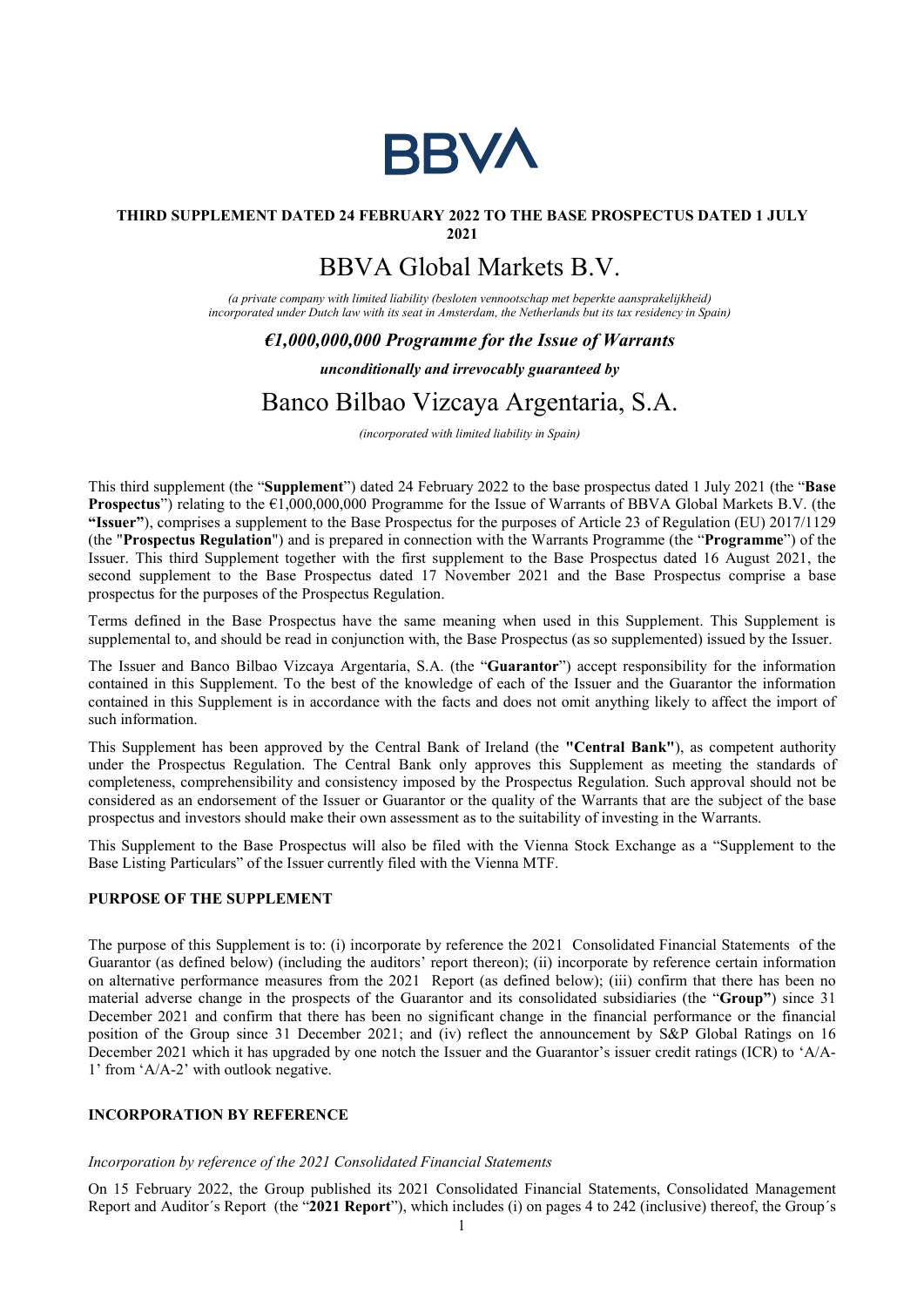

## THIRD SUPPLEMENT DATED 24 FEBRUARY 2022 TO THE BASE PROSPECTUS DATED 1 JULY

2021

# BBVA Global Markets B.V.

(a private company with limited liability (besloten vennootschap met beperkte aansprakelijkheid) incorporated under Dutch law with its seat in Amsterdam, the Netherlands but its tax residency in Spain)

## $\epsilon$ 1,000,000,000 Programme for the Issue of Warrants

### unconditionally and irrevocably guaranteed by

# Banco Bilbao Vizcaya Argentaria, S.A.

(incorporated with limited liability in Spain)

This third supplement (the "Supplement") dated 24 February 2022 to the base prospectus dated 1 July 2021 (the "Base **Prospectus**") relating to the  $\epsilon$ 1,000,000,000 Programme for the Issue of Warrants of BBVA Global Markets B.V. (the "Issuer"), comprises a supplement to the Base Prospectus for the purposes of Article 23 of Regulation (EU) 2017/1129 (the "Prospectus Regulation") and is prepared in connection with the Warrants Programme (the "Programme") of the Issuer. This third Supplement together with the first supplement to the Base Prospectus dated 16 August 2021, the second supplement to the Base Prospectus dated 17 November 2021 and the Base Prospectus comprise a base prospectus for the purposes of the Prospectus Regulation.

Terms defined in the Base Prospectus have the same meaning when used in this Supplement. This Supplement is supplemental to, and should be read in conjunction with, the Base Prospectus (as so supplemented) issued by the Issuer.

The Issuer and Banco Bilbao Vizcaya Argentaria, S.A. (the "Guarantor") accept responsibility for the information contained in this Supplement. To the best of the knowledge of each of the Issuer and the Guarantor the information contained in this Supplement is in accordance with the facts and does not omit anything likely to affect the import of such information.

This Supplement has been approved by the Central Bank of Ireland (the "Central Bank"), as competent authority under the Prospectus Regulation. The Central Bank only approves this Supplement as meeting the standards of completeness, comprehensibility and consistency imposed by the Prospectus Regulation. Such approval should not be considered as an endorsement of the Issuer or Guarantor or the quality of the Warrants that are the subject of the base prospectus and investors should make their own assessment as to the suitability of investing in the Warrants.

This Supplement to the Base Prospectus will also be filed with the Vienna Stock Exchange as a "Supplement to the Base Listing Particulars" of the Issuer currently filed with the Vienna MTF.

### PURPOSE OF THE SUPPLEMENT

The purpose of this Supplement is to: (i) incorporate by reference the 2021 Consolidated Financial Statements of the Guarantor (as defined below) (including the auditors' report thereon); (ii) incorporate by reference certain information on alternative performance measures from the 2021 Report (as defined below); (iii) confirm that there has been no material adverse change in the prospects of the Guarantor and its consolidated subsidiaries (the "Group") since 31 December 2021 and confirm that there has been no significant change in the financial performance or the financial position of the Group since 31 December 2021; and (iv) reflect the announcement by S&P Global Ratings on 16 December 2021 which it has upgraded by one notch the Issuer and the Guarantor's issuer credit ratings (ICR) to 'A/A-1' from 'A/A-2' with outlook negative.

### INCORPORATION BY REFERENCE

#### Incorporation by reference of the 2021 Consolidated Financial Statements

On 15 February 2022, the Group published its 2021 Consolidated Financial Statements, Consolidated Management Report and Auditor´s Report (the "2021 Report"), which includes (i) on pages 4 to 242 (inclusive) thereof, the Group´s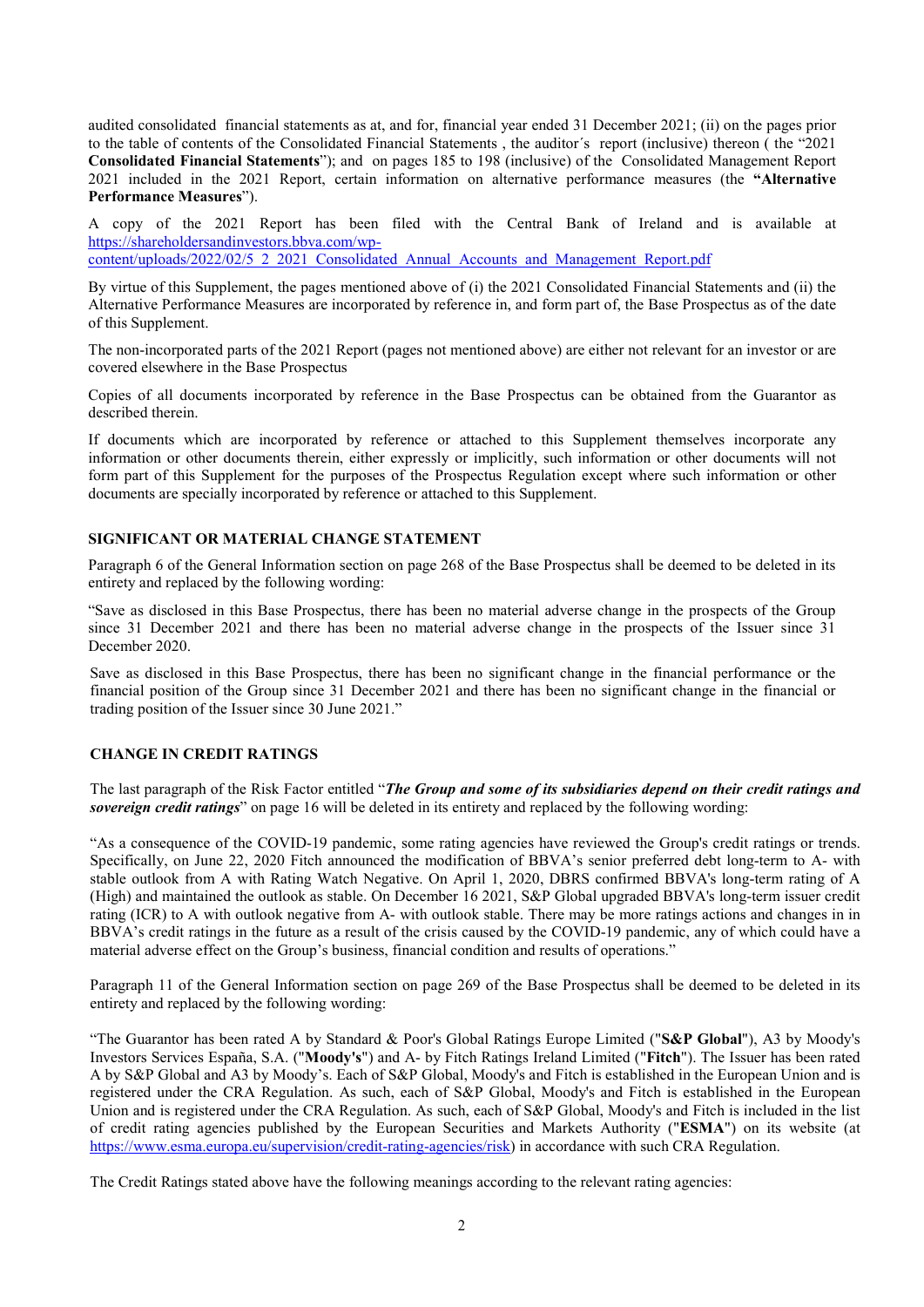audited consolidated financial statements as at, and for, financial year ended 31 December 2021; (ii) on the pages prior to the table of contents of the Consolidated Financial Statements , the auditor´s report (inclusive) thereon ( the "2021 Consolidated Financial Statements"); and on pages 185 to 198 (inclusive) of the Consolidated Management Report 2021 included in the 2021 Report, certain information on alternative performance measures (the "Alternative Performance Measures").

A copy of the 2021 Report has been filed with the Central Bank of Ireland and is available at https://shareholdersandinvestors.bbva.com/wp-

content/uploads/2022/02/5\_2\_2021\_Consolidated\_Annual\_Accounts\_and\_Management\_Report.pdf

By virtue of this Supplement, the pages mentioned above of (i) the 2021 Consolidated Financial Statements and (ii) the Alternative Performance Measures are incorporated by reference in, and form part of, the Base Prospectus as of the date of this Supplement.

The non-incorporated parts of the 2021 Report (pages not mentioned above) are either not relevant for an investor or are covered elsewhere in the Base Prospectus

Copies of all documents incorporated by reference in the Base Prospectus can be obtained from the Guarantor as described therein.

If documents which are incorporated by reference or attached to this Supplement themselves incorporate any information or other documents therein, either expressly or implicitly, such information or other documents will not form part of this Supplement for the purposes of the Prospectus Regulation except where such information or other documents are specially incorporated by reference or attached to this Supplement.

#### SIGNIFICANT OR MATERIAL CHANGE STATEMENT

Paragraph 6 of the General Information section on page 268 of the Base Prospectus shall be deemed to be deleted in its entirety and replaced by the following wording:

"Save as disclosed in this Base Prospectus, there has been no material adverse change in the prospects of the Group since 31 December 2021 and there has been no material adverse change in the prospects of the Issuer since 31 December 2020.

Save as disclosed in this Base Prospectus, there has been no significant change in the financial performance or the financial position of the Group since 31 December 2021 and there has been no significant change in the financial or trading position of the Issuer since 30 June 2021."

#### CHANGE IN CREDIT RATINGS

The last paragraph of the Risk Factor entitled "The Group and some of its subsidiaries depend on their credit ratings and sovereign credit ratings" on page 16 will be deleted in its entirety and replaced by the following wording:

"As a consequence of the COVID-19 pandemic, some rating agencies have reviewed the Group's credit ratings or trends. Specifically, on June 22, 2020 Fitch announced the modification of BBVA's senior preferred debt long-term to A- with stable outlook from A with Rating Watch Negative. On April 1, 2020, DBRS confirmed BBVA's long-term rating of A (High) and maintained the outlook as stable. On December 16 2021, S&P Global upgraded BBVA's long-term issuer credit rating (ICR) to A with outlook negative from A- with outlook stable. There may be more ratings actions and changes in in BBVA's credit ratings in the future as a result of the crisis caused by the COVID-19 pandemic, any of which could have a material adverse effect on the Group's business, financial condition and results of operations."

Paragraph 11 of the General Information section on page 269 of the Base Prospectus shall be deemed to be deleted in its entirety and replaced by the following wording:

"The Guarantor has been rated A by Standard & Poor's Global Ratings Europe Limited ("S&P Global"), A3 by Moody's Investors Services España, S.A. ("Moody's") and A- by Fitch Ratings Ireland Limited ("Fitch"). The Issuer has been rated A by S&P Global and A3 by Moody's. Each of S&P Global, Moody's and Fitch is established in the European Union and is registered under the CRA Regulation. As such, each of S&P Global, Moody's and Fitch is established in the European Union and is registered under the CRA Regulation. As such, each of S&P Global, Moody's and Fitch is included in the list of credit rating agencies published by the European Securities and Markets Authority ("ESMA") on its website (at https://www.esma.europa.eu/supervision/credit-rating-agencies/risk) in accordance with such CRA Regulation.

The Credit Ratings stated above have the following meanings according to the relevant rating agencies: